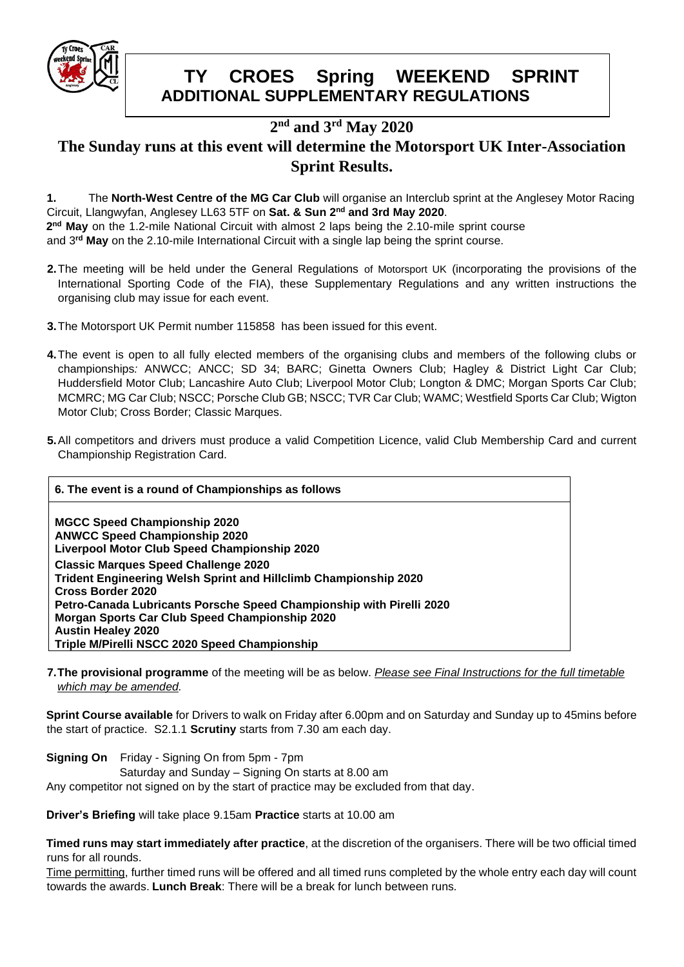

# **TY CROES Spring WEEKEND SPRINT ADDITIONAL SUPPLEMENTARY REGULATIONS**

### **2 nd and 3rd May 2020**

## **The Sunday runs at this event will determine the Motorsport UK Inter-Association Sprint Results.**

**1.** The **North-West Centre of the MG Car Club** will organise an Interclub sprint at the Anglesey Motor Racing Circuit, Llangwyfan, Anglesey LL63 5TF on **Sat. & Sun 2 nd and 3rd May 2020**. **2 nd May** on the 1.2-mile National Circuit with almost 2 laps being the 2.10-mile sprint course and 3**rd May** on the 2.10-mile International Circuit with a single lap being the sprint course.

- **2.**The meeting will be held under the General Regulations of Motorsport UK (incorporating the provisions of the International Sporting Code of the FIA), these Supplementary Regulations and any written instructions the organising club may issue for each event.
- **3.**The Motorsport UK Permit number 115858 has been issued for this event.
- **4.**The event is open to all fully elected members of the organising clubs and members of the following clubs or championships*:* ANWCC; ANCC; SD 34; BARC; Ginetta Owners Club; Hagley & District Light Car Club; Huddersfield Motor Club; Lancashire Auto Club; Liverpool Motor Club; Longton & DMC; Morgan Sports Car Club; MCMRC; MG Car Club; NSCC; Porsche Club GB; NSCC; TVR Car Club; WAMC; Westfield Sports Car Club; Wigton Motor Club; Cross Border; Classic Marques.
- **5.**All competitors and drivers must produce a valid Competition Licence, valid Club Membership Card and current Championship Registration Card.

| 6. The event is a round of Championships as follows                                                                                                        |  |  |  |  |
|------------------------------------------------------------------------------------------------------------------------------------------------------------|--|--|--|--|
| <b>MGCC Speed Championship 2020</b><br><b>ANWCC Speed Championship 2020</b><br>Liverpool Motor Club Speed Championship 2020                                |  |  |  |  |
| <b>Classic Marques Speed Challenge 2020</b><br>Trident Engineering Welsh Sprint and Hillclimb Championship 2020<br><b>Cross Border 2020</b>                |  |  |  |  |
| <b>Petro-Canada Lubricants Porsche Speed Championship with Pirelli 2020</b><br>Morgan Sports Car Club Speed Championship 2020<br><b>Austin Healey 2020</b> |  |  |  |  |
| Triple M/Pirelli NSCC 2020 Speed Championship                                                                                                              |  |  |  |  |

**7.The provisional programme** of the meeting will be as below. *Please see Final Instructions for the full timetable which may be amended.*

**Sprint Course available** for Drivers to walk on Friday after 6.00pm and on Saturday and Sunday up to 45mins before the start of practice. S2.1.1 **Scrutiny** starts from 7.30 am each day.

**Signing On** Friday - Signing On from 5pm - 7pm Saturday and Sunday – Signing On starts at 8.00 am Any competitor not signed on by the start of practice may be excluded from that day.

**Driver's Briefing** will take place 9.15am **Practice** starts at 10.00 am

**Timed runs may start immediately after practice**, at the discretion of the organisers. There will be two official timed runs for all rounds.

Time permitting, further timed runs will be offered and all timed runs completed by the whole entry each day will count towards the awards. **Lunch Break**: There will be a break for lunch between runs*.*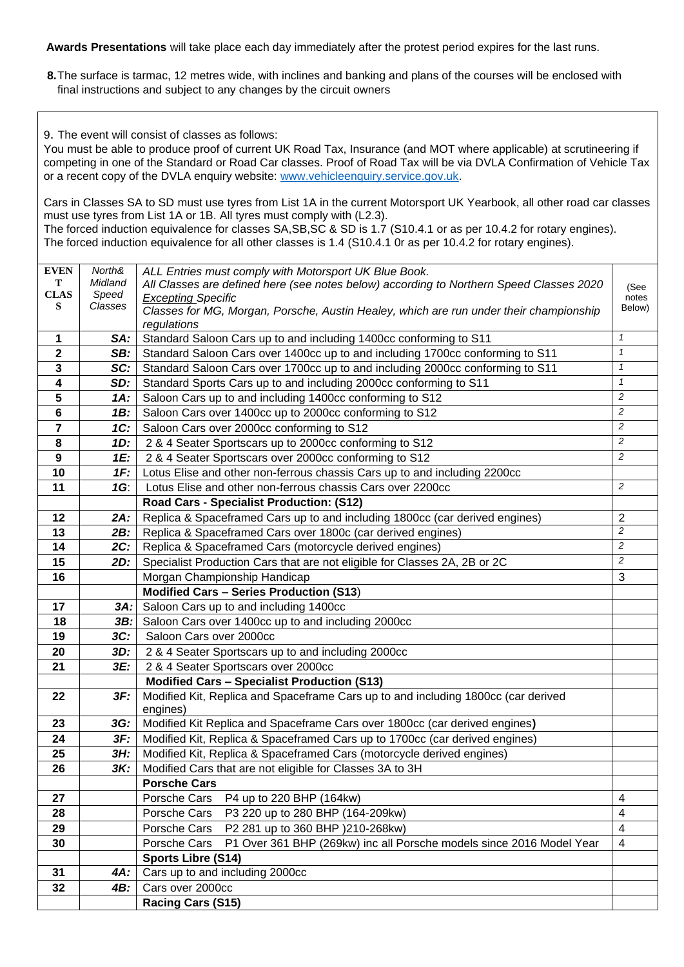**Awards Presentations** will take place each day immediately after the protest period expires for the last runs.

- **8.**The surface is tarmac, 12 metres wide, with inclines and banking and plans of the courses will be enclosed with final instructions and subject to any changes by the circuit owners
- 9. The event will consist of classes as follows:

You must be able to produce proof of current UK Road Tax, Insurance (and MOT where applicable) at scrutineering if competing in one of the Standard or Road Car classes. Proof of Road Tax will be via DVLA Confirmation of Vehicle Tax or a recent copy of the DVLA enquiry website: [www.vehicleenquiry.service.gov.uk.](http://www.vehicleenquiry.service.gov.uk/)

Cars in Classes SA to SD must use tyres from List 1A in the current Motorsport UK Yearbook, all other road car classes must use tyres from List 1A or 1B. All tyres must comply with (L2.3). The forced induction equivalence for classes SA,SB,SC & SD is 1.7 (S10.4.1 or as per 10.4.2 for rotary engines). The forced induction equivalence for all other classes is 1.4 (S10.4.1 0r as per 10.4.2 for rotary engines).

| <b>EVEN</b>      | North&           | ALL Entries must comply with Motorsport UK Blue Book.                                               |                              |  |  |
|------------------|------------------|-----------------------------------------------------------------------------------------------------|------------------------------|--|--|
| т<br><b>CLAS</b> | Midland<br>Speed | All Classes are defined here (see notes below) according to Northern Speed Classes 2020             |                              |  |  |
| S                | Classes          | <b>Excepting Specific</b>                                                                           |                              |  |  |
|                  |                  | Classes for MG, Morgan, Porsche, Austin Healey, which are run under their championship              |                              |  |  |
| $\mathbf 1$      | SA:              | regulations<br>Standard Saloon Cars up to and including 1400cc conforming to S11                    | $\mathcal I$                 |  |  |
| $\mathbf{2}$     | SB:              |                                                                                                     | $\mathbf{1}$                 |  |  |
| 3                | SC:              | Standard Saloon Cars over 1400cc up to and including 1700cc conforming to S11                       |                              |  |  |
| 4                | SD:              | Standard Saloon Cars over 1700cc up to and including 2000cc conforming to S11                       |                              |  |  |
| 5                | 1A:              | Standard Sports Cars up to and including 2000cc conforming to S11                                   |                              |  |  |
| 6                | 1B:              | Saloon Cars up to and including 1400cc conforming to S12                                            |                              |  |  |
| $\overline{7}$   | $1C$ :           | Saloon Cars over 1400cc up to 2000cc conforming to S12<br>Saloon Cars over 2000cc conforming to S12 |                              |  |  |
| 8                | 1D:              | 2 & 4 Seater Sportscars up to 2000cc conforming to S12                                              | $\overline{\mathbf{c}}$<br>2 |  |  |
| $\boldsymbol{9}$ | 1E:              |                                                                                                     | 2                            |  |  |
| 10               |                  | 2 & 4 Seater Sportscars over 2000cc conforming to S12                                               |                              |  |  |
| 11               | 1F:              | Lotus Elise and other non-ferrous chassis Cars up to and including 2200cc                           | 2                            |  |  |
|                  | 1G:              | Lotus Elise and other non-ferrous chassis Cars over 2200cc                                          |                              |  |  |
|                  |                  | Road Cars - Specialist Production: (S12)                                                            |                              |  |  |
| 12               | 2A:              | Replica & Spaceframed Cars up to and including 1800cc (car derived engines)                         | $\overline{2}$<br>2          |  |  |
| 13               | 2B:              | Replica & Spaceframed Cars over 1800c (car derived engines)                                         | 2                            |  |  |
| 14               | 2C:              | Replica & Spaceframed Cars (motorcycle derived engines)                                             |                              |  |  |
| 15               | 2D:              | 2<br>Specialist Production Cars that are not eligible for Classes 2A, 2B or 2C                      |                              |  |  |
| 16               |                  | Morgan Championship Handicap                                                                        | 3                            |  |  |
|                  |                  | <b>Modified Cars - Series Production (S13)</b>                                                      |                              |  |  |
| 17               | 3A:              | Saloon Cars up to and including 1400cc                                                              |                              |  |  |
| 18               | 3B:              | Saloon Cars over 1400cc up to and including 2000cc                                                  |                              |  |  |
| 19               | 3C:              | Saloon Cars over 2000cc                                                                             |                              |  |  |
| 20               | 3D:              | 2 & 4 Seater Sportscars up to and including 2000cc                                                  |                              |  |  |
| 21               | 3E:              | 2 & 4 Seater Sportscars over 2000cc                                                                 |                              |  |  |
|                  |                  | <b>Modified Cars - Specialist Production (S13)</b>                                                  |                              |  |  |
| 22               | 3F:              | Modified Kit, Replica and Spaceframe Cars up to and including 1800cc (car derived                   |                              |  |  |
|                  |                  | engines)                                                                                            |                              |  |  |
| 23               | 3G:              | Modified Kit Replica and Spaceframe Cars over 1800cc (car derived engines)                          |                              |  |  |
| 24               | 3F:              | Modified Kit, Replica & Spaceframed Cars up to 1700cc (car derived engines)                         |                              |  |  |
| 25               | 3H:              | Modified Kit, Replica & Spaceframed Cars (motorcycle derived engines)                               |                              |  |  |
| 26               | 3K:              | Modified Cars that are not eligible for Classes 3A to 3H                                            |                              |  |  |
|                  |                  | <b>Porsche Cars</b>                                                                                 |                              |  |  |
| 27               |                  | Porsche Cars<br>P4 up to 220 BHP (164kw)                                                            | $\overline{\mathbf{4}}$      |  |  |
| 28               |                  | Porsche Cars  P3 220 up to 280 BHP (164-209kw)                                                      | $\overline{4}$               |  |  |
| 29               |                  | P2 281 up to 360 BHP )210-268kw)<br>Porsche Cars                                                    | $\overline{\mathbf{4}}$      |  |  |
| 30               |                  | Porsche Cars<br>P1 Over 361 BHP (269kw) inc all Porsche models since 2016 Model Year                | $\overline{4}$               |  |  |
|                  |                  | <b>Sports Libre (S14)</b>                                                                           |                              |  |  |
| 31               | 4A:              | Cars up to and including 2000cc                                                                     |                              |  |  |
| 32               | 4B:              | Cars over 2000cc                                                                                    |                              |  |  |
|                  |                  | Racing Cars (S15)                                                                                   |                              |  |  |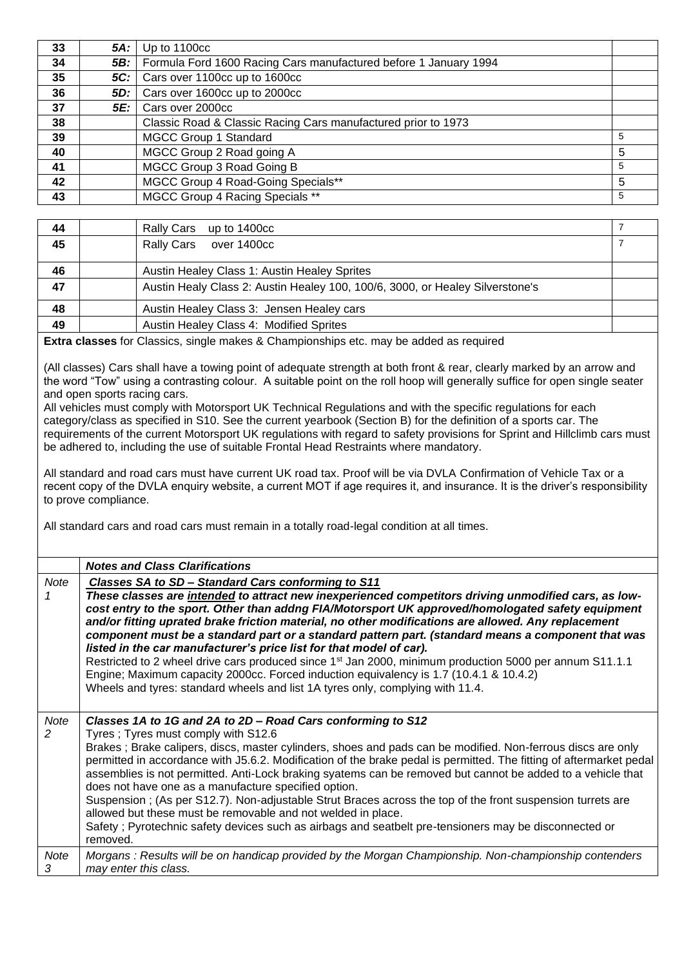| 33        | 5A:                                                                                                                                                                                                                                                                                                                                                                                                                                                                                                                                                                                                                                                                                                                                                                                                                                                    | Up to 1100cc                                                                                                                                                                                                                                                                                                                                                                                                                             |                |  |
|-----------|--------------------------------------------------------------------------------------------------------------------------------------------------------------------------------------------------------------------------------------------------------------------------------------------------------------------------------------------------------------------------------------------------------------------------------------------------------------------------------------------------------------------------------------------------------------------------------------------------------------------------------------------------------------------------------------------------------------------------------------------------------------------------------------------------------------------------------------------------------|------------------------------------------------------------------------------------------------------------------------------------------------------------------------------------------------------------------------------------------------------------------------------------------------------------------------------------------------------------------------------------------------------------------------------------------|----------------|--|
| 34        | 5B:                                                                                                                                                                                                                                                                                                                                                                                                                                                                                                                                                                                                                                                                                                                                                                                                                                                    | Formula Ford 1600 Racing Cars manufactured before 1 January 1994                                                                                                                                                                                                                                                                                                                                                                         |                |  |
| 35        | 5C:                                                                                                                                                                                                                                                                                                                                                                                                                                                                                                                                                                                                                                                                                                                                                                                                                                                    | Cars over 1100cc up to 1600cc                                                                                                                                                                                                                                                                                                                                                                                                            |                |  |
| 36        | 5D:                                                                                                                                                                                                                                                                                                                                                                                                                                                                                                                                                                                                                                                                                                                                                                                                                                                    | Cars over 1600cc up to 2000cc                                                                                                                                                                                                                                                                                                                                                                                                            |                |  |
| 37        | 5E:                                                                                                                                                                                                                                                                                                                                                                                                                                                                                                                                                                                                                                                                                                                                                                                                                                                    | Cars over 2000cc                                                                                                                                                                                                                                                                                                                                                                                                                         |                |  |
| 38        |                                                                                                                                                                                                                                                                                                                                                                                                                                                                                                                                                                                                                                                                                                                                                                                                                                                        | Classic Road & Classic Racing Cars manufactured prior to 1973                                                                                                                                                                                                                                                                                                                                                                            |                |  |
| 39        |                                                                                                                                                                                                                                                                                                                                                                                                                                                                                                                                                                                                                                                                                                                                                                                                                                                        | MGCC Group 1 Standard                                                                                                                                                                                                                                                                                                                                                                                                                    | 5              |  |
| 40        |                                                                                                                                                                                                                                                                                                                                                                                                                                                                                                                                                                                                                                                                                                                                                                                                                                                        | MGCC Group 2 Road going A                                                                                                                                                                                                                                                                                                                                                                                                                | 5              |  |
| 41        |                                                                                                                                                                                                                                                                                                                                                                                                                                                                                                                                                                                                                                                                                                                                                                                                                                                        | MGCC Group 3 Road Going B                                                                                                                                                                                                                                                                                                                                                                                                                | 5              |  |
| 42        |                                                                                                                                                                                                                                                                                                                                                                                                                                                                                                                                                                                                                                                                                                                                                                                                                                                        | MGCC Group 4 Road-Going Specials**                                                                                                                                                                                                                                                                                                                                                                                                       | 5              |  |
| 43        |                                                                                                                                                                                                                                                                                                                                                                                                                                                                                                                                                                                                                                                                                                                                                                                                                                                        | MGCC Group 4 Racing Specials **                                                                                                                                                                                                                                                                                                                                                                                                          | 5              |  |
|           |                                                                                                                                                                                                                                                                                                                                                                                                                                                                                                                                                                                                                                                                                                                                                                                                                                                        |                                                                                                                                                                                                                                                                                                                                                                                                                                          |                |  |
| 44        |                                                                                                                                                                                                                                                                                                                                                                                                                                                                                                                                                                                                                                                                                                                                                                                                                                                        | <b>Rally Cars</b><br>up to 1400cc                                                                                                                                                                                                                                                                                                                                                                                                        | $\overline{7}$ |  |
| 45        |                                                                                                                                                                                                                                                                                                                                                                                                                                                                                                                                                                                                                                                                                                                                                                                                                                                        | <b>Rally Cars</b><br>over 1400cc                                                                                                                                                                                                                                                                                                                                                                                                         | 7              |  |
| 46        |                                                                                                                                                                                                                                                                                                                                                                                                                                                                                                                                                                                                                                                                                                                                                                                                                                                        | Austin Healey Class 1: Austin Healey Sprites                                                                                                                                                                                                                                                                                                                                                                                             |                |  |
| 47        |                                                                                                                                                                                                                                                                                                                                                                                                                                                                                                                                                                                                                                                                                                                                                                                                                                                        | Austin Healy Class 2: Austin Healey 100, 100/6, 3000, or Healey Silverstone's                                                                                                                                                                                                                                                                                                                                                            |                |  |
|           |                                                                                                                                                                                                                                                                                                                                                                                                                                                                                                                                                                                                                                                                                                                                                                                                                                                        |                                                                                                                                                                                                                                                                                                                                                                                                                                          |                |  |
| 48        |                                                                                                                                                                                                                                                                                                                                                                                                                                                                                                                                                                                                                                                                                                                                                                                                                                                        | Austin Healey Class 3: Jensen Healey cars                                                                                                                                                                                                                                                                                                                                                                                                |                |  |
| 49        |                                                                                                                                                                                                                                                                                                                                                                                                                                                                                                                                                                                                                                                                                                                                                                                                                                                        | Austin Healey Class 4: Modified Sprites                                                                                                                                                                                                                                                                                                                                                                                                  |                |  |
|           |                                                                                                                                                                                                                                                                                                                                                                                                                                                                                                                                                                                                                                                                                                                                                                                                                                                        | <b>Extra classes</b> for Classics, single makes & Championships etc. may be added as required                                                                                                                                                                                                                                                                                                                                            |                |  |
|           | to prove compliance.                                                                                                                                                                                                                                                                                                                                                                                                                                                                                                                                                                                                                                                                                                                                                                                                                                   | be adhered to, including the use of suitable Frontal Head Restraints where mandatory.<br>All standard and road cars must have current UK road tax. Proof will be via DVLA Confirmation of Vehicle Tax or a<br>recent copy of the DVLA enquiry website, a current MOT if age requires it, and insurance. It is the driver's responsibility<br>All standard cars and road cars must remain in a totally road-legal condition at all times. |                |  |
| Note      |                                                                                                                                                                                                                                                                                                                                                                                                                                                                                                                                                                                                                                                                                                                                                                                                                                                        | <b>Notes and Class Clarifications</b>                                                                                                                                                                                                                                                                                                                                                                                                    |                |  |
| 1         | Classes SA to SD - Standard Cars conforming to S11<br>These classes are intended to attract new inexperienced competitors driving unmodified cars, as low-<br>cost entry to the sport. Other than addng FIA/Motorsport UK approved/homologated safety equipment<br>and/or fitting uprated brake friction material, no other modifications are allowed. Any replacement<br>component must be a standard part or a standard pattern part. (standard means a component that was<br>listed in the car manufacturer's price list for that model of car).<br>Restricted to 2 wheel drive cars produced since 1 <sup>st</sup> Jan 2000, minimum production 5000 per annum S11.1.1<br>Engine; Maximum capacity 2000cc. Forced induction equivalency is 1.7 (10.4.1 & 10.4.2)<br>Wheels and tyres: standard wheels and list 1A tyres only, complying with 11.4. |                                                                                                                                                                                                                                                                                                                                                                                                                                          |                |  |
| Note<br>2 | Classes 1A to 1G and 2A to 2D - Road Cars conforming to S12<br>Tyres; Tyres must comply with S12.6<br>Brakes; Brake calipers, discs, master cylinders, shoes and pads can be modified. Non-ferrous discs are only<br>permitted in accordance with J5.6.2. Modification of the brake pedal is permitted. The fitting of aftermarket pedal<br>assemblies is not permitted. Anti-Lock braking syatems can be removed but cannot be added to a vehicle that<br>does not have one as a manufacture specified option.<br>Suspension; (As per S12.7). Non-adjustable Strut Braces across the top of the front suspension turrets are<br>allowed but these must be removable and not welded in place.<br>Safety; Pyrotechnic safety devices such as airbags and seatbelt pre-tensioners may be disconnected or                                                 |                                                                                                                                                                                                                                                                                                                                                                                                                                          |                |  |
| Note<br>3 | removed.                                                                                                                                                                                                                                                                                                                                                                                                                                                                                                                                                                                                                                                                                                                                                                                                                                               | Morgans: Results will be on handicap provided by the Morgan Championship. Non-championship contenders<br>may enter this class.                                                                                                                                                                                                                                                                                                           |                |  |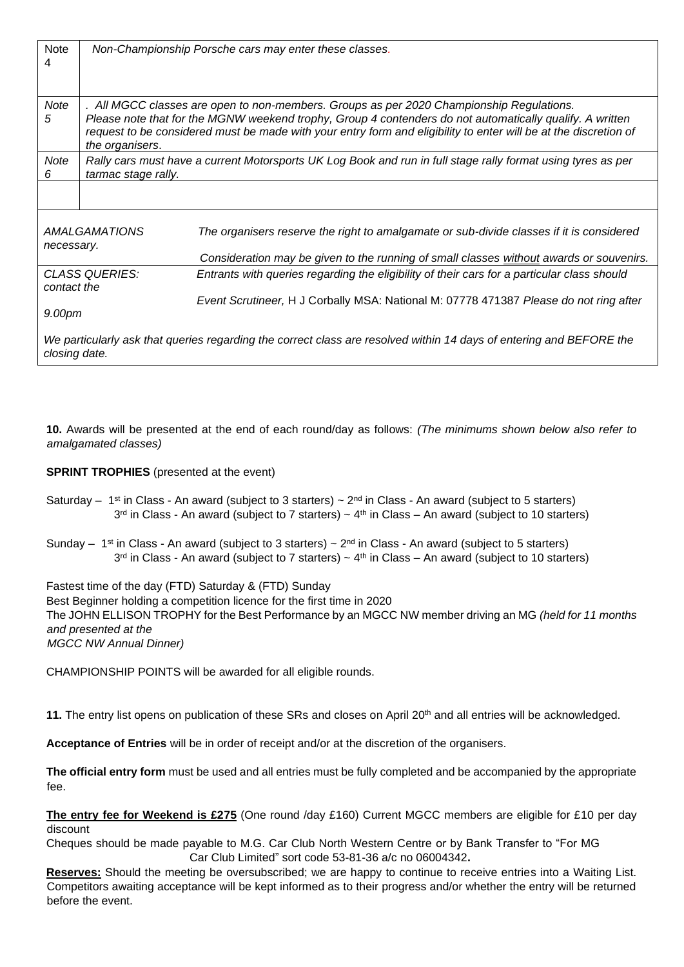| <b>Note</b><br>4                                                                                                                     |                                                                                                                                                                                                                                                                                                                                             | Non-Championship Porsche cars may enter these classes.                                                                                                                              |  |  |
|--------------------------------------------------------------------------------------------------------------------------------------|---------------------------------------------------------------------------------------------------------------------------------------------------------------------------------------------------------------------------------------------------------------------------------------------------------------------------------------------|-------------------------------------------------------------------------------------------------------------------------------------------------------------------------------------|--|--|
| Note<br>5                                                                                                                            | . All MGCC classes are open to non-members. Groups as per 2020 Championship Regulations.<br>Please note that for the MGNW weekend trophy, Group 4 contenders do not automatically qualify. A written<br>request to be considered must be made with your entry form and eligibility to enter will be at the discretion of<br>the organisers. |                                                                                                                                                                                     |  |  |
| Note<br>6                                                                                                                            | Rally cars must have a current Motorsports UK Log Book and run in full stage rally format using tyres as per<br>tarmac stage rally.                                                                                                                                                                                                         |                                                                                                                                                                                     |  |  |
|                                                                                                                                      |                                                                                                                                                                                                                                                                                                                                             |                                                                                                                                                                                     |  |  |
| AMALGAMATIONS<br>necessary.                                                                                                          |                                                                                                                                                                                                                                                                                                                                             | The organisers reserve the right to amalgamate or sub-divide classes if it is considered<br>Consideration may be given to the running of small classes without awards or souvenirs. |  |  |
| <b>CLASS QUERIES:</b><br>contact the                                                                                                 |                                                                                                                                                                                                                                                                                                                                             | Entrants with queries regarding the eligibility of their cars for a particular class should                                                                                         |  |  |
| 9.00pm                                                                                                                               |                                                                                                                                                                                                                                                                                                                                             | Event Scrutineer, H J Corbally MSA: National M: 07778 471387 Please do not ring after                                                                                               |  |  |
| We particularly ask that queries regarding the correct class are resolved within 14 days of entering and BEFORE the<br>closing date. |                                                                                                                                                                                                                                                                                                                                             |                                                                                                                                                                                     |  |  |

**10.** Awards will be presented at the end of each round/day as follows: *(The minimums shown below also refer to amalgamated classes)* 

### **SPRINT TROPHIES** (presented at the event)

- Saturday 1<sup>st</sup> in Class An award (subject to 3 starters) ~ 2<sup>nd</sup> in Class An award (subject to 5 starters)  $3<sup>rd</sup>$  in Class - An award (subject to 7 starters) ~ 4<sup>th</sup> in Class – An award (subject to 10 starters)
- Sunday 1<sup>st</sup> in Class An award (subject to 3 starters) ~  $2<sup>nd</sup>$  in Class An award (subject to 5 starters)  $3<sup>rd</sup>$  in Class - An award (subject to 7 starters) ~ 4<sup>th</sup> in Class – An award (subject to 10 starters)

Fastest time of the day (FTD) Saturday & (FTD) Sunday Best Beginner holding a competition licence for the first time in 2020 The JOHN ELLISON TROPHY for the Best Performance by an MGCC NW member driving an MG *(held for 11 months and presented at the MGCC NW Annual Dinner)* 

CHAMPIONSHIP POINTS will be awarded for all eligible rounds.

**11.** The entry list opens on publication of these SRs and closes on April 20 th and all entries will be acknowledged.

**Acceptance of Entries** will be in order of receipt and/or at the discretion of the organisers.

**The official entry form** must be used and all entries must be fully completed and be accompanied by the appropriate fee.

**The entry fee for Weekend is £275** (One round /day £160) Current MGCC members are eligible for £10 per day discount

Cheques should be made payable to M.G. Car Club North Western Centre or by Bank Transfer to "For MG Car Club Limited" sort code 53-81-36 a/c no 06004342**.**

**Reserves:** Should the meeting be oversubscribed; we are happy to continue to receive entries into a Waiting List. Competitors awaiting acceptance will be kept informed as to their progress and/or whether the entry will be returned before the event.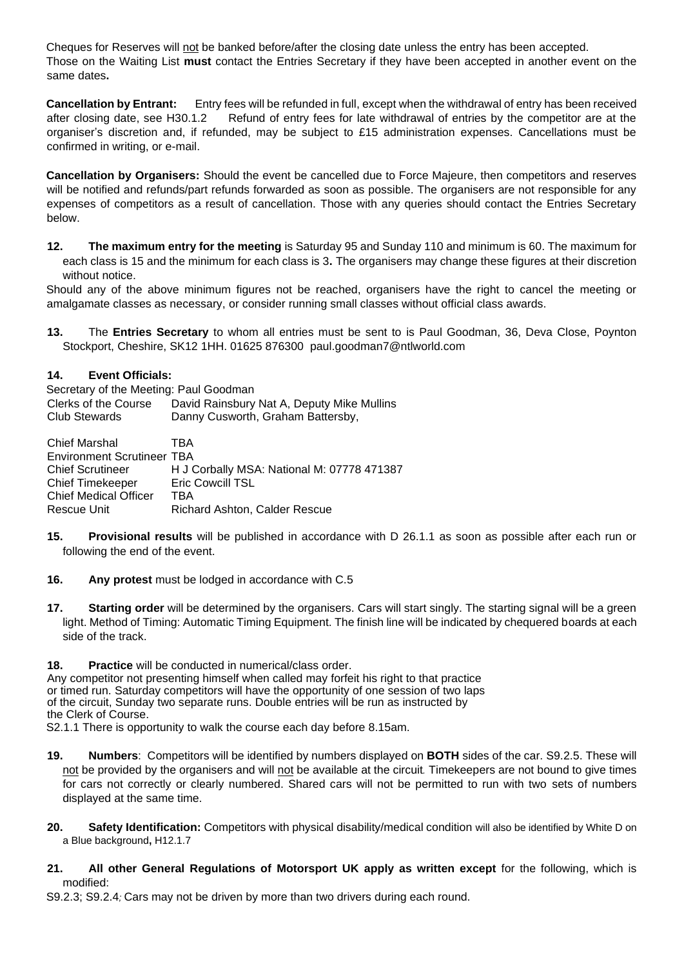Cheques for Reserves will not be banked before/after the closing date unless the entry has been accepted. Those on the Waiting List **must** contact the Entries Secretary if they have been accepted in another event on the same dates**.**

**Cancellation by Entrant:** Entry fees will be refunded in full, except when the withdrawal of entry has been received after closing date, see H30.1.2 Refund of entry fees for late withdrawal of entries by the competitor are at the organiser's discretion and, if refunded, may be subject to £15 administration expenses. Cancellations must be confirmed in writing, or e-mail.

**Cancellation by Organisers:** Should the event be cancelled due to Force Majeure, then competitors and reserves will be notified and refunds/part refunds forwarded as soon as possible. The organisers are not responsible for any expenses of competitors as a result of cancellation. Those with any queries should contact the Entries Secretary below.

**12. The maximum entry for the meeting** is Saturday 95 and Sunday 110 and minimum is 60. The maximum for each class is 15 and the minimum for each class is 3**.** The organisers may change these figures at their discretion without notice.

Should any of the above minimum figures not be reached, organisers have the right to cancel the meeting or amalgamate classes as necessary, or consider running small classes without official class awards.

**13.** The **Entries Secretary** to whom all entries must be sent to is Paul Goodman, 36, Deva Close, Poynton Stockport, Cheshire, SK12 1HH. 01625 876300 paul.goodman7@ntlworld.com

### **14. Event Officials:**

Secretary of the Meeting: Paul Goodman Clerks of the Course David Rainsbury Nat A, Deputy Mike Mullins Club Stewards Danny Cusworth, Graham Battersby,

| Chief Marshal                     | TBA                                        |
|-----------------------------------|--------------------------------------------|
| <b>Environment Scrutineer TBA</b> |                                            |
| <b>Chief Scrutineer</b>           | H J Corbally MSA: National M: 07778 471387 |
| <b>Chief Timekeeper</b>           | <b>Eric Cowcill TSL</b>                    |
| <b>Chief Medical Officer</b>      | TBA                                        |
| Rescue Unit                       | Richard Ashton, Calder Rescue              |
|                                   |                                            |

- **15. Provisional results** will be published in accordance with D 26.1.1 as soon as possible after each run or following the end of the event.
- **16. Any protest** must be lodged in accordance with C.5
- **17. Starting order** will be determined by the organisers. Cars will start singly. The starting signal will be a green light. Method of Timing: Automatic Timing Equipment. The finish line will be indicated by chequered boards at each side of the track.

**18. Practice** will be conducted in numerical/class order.

Any competitor not presenting himself when called may forfeit his right to that practice or timed run. Saturday competitors will have the opportunity of one session of two laps of the circuit, Sunday two separate runs. Double entries will be run as instructed by the Clerk of Course. S2.1.1 There is opportunity to walk the course each day before 8.15am.

- **19. Numbers**: Competitors will be identified by numbers displayed on **BOTH** sides of the car. S9.2.5. These will not be provided by the organisers and will not be available at the circuit*.* Timekeepers are not bound to give times for cars not correctly or clearly numbered. Shared cars will not be permitted to run with two sets of numbers displayed at the same time.
- **20. Safety Identification:** Competitors with physical disability/medical condition will also be identified by White D on a Blue background**,** H12.1.7
- **21. All other General Regulations of Motorsport UK apply as written except** for the following, which is modified:

S9.2.3; S9.2.4*;* Cars may not be driven by more than two drivers during each round.